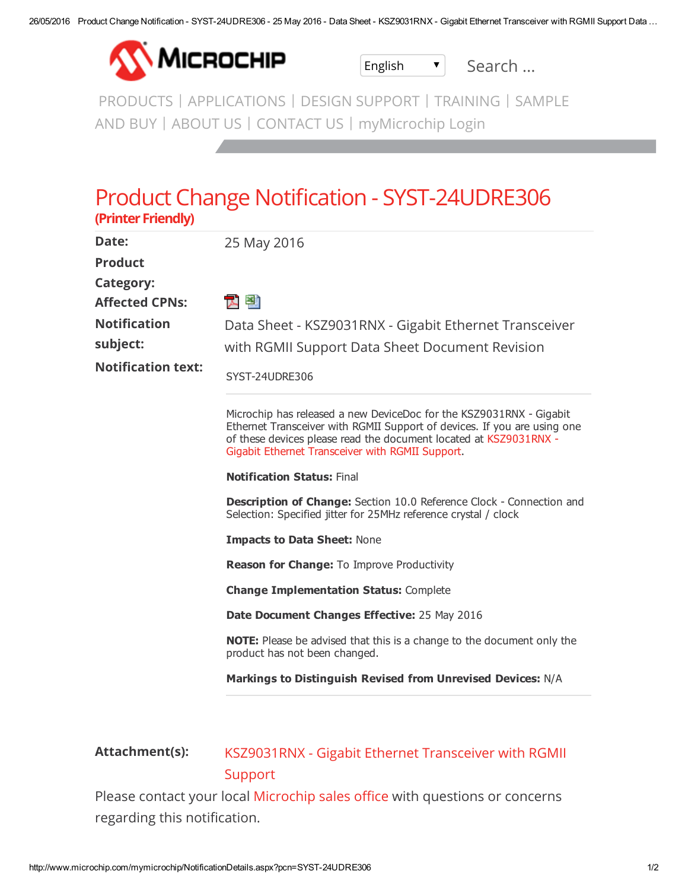

English v Search ...

[PRODUCTS](http://www.microchip.com/products/) | [A](http://www.microchipdirect.com/)[PPLICATIONS](http://www.microchip.com/application/) | DESIGN [SUPPORT](http://www.microchip.com/designsupport/) | [TRAINING](http://www.microchip.com/training/) | SAMPLE AND BUY | [ABOUT](http://www.microchip.com/about-us/company-information/about) US | [CONTACT](http://www.microchip.com/contactus/) US | [myMicrochip](http://www.microchip.com/myMicrochip) Login

## Product Change Notification - SYST-24UDRE306 (Printer Friendly)

| Date:<br><b>Product</b>   | 25 May 2016                                                                                                                                                                                                                                                              |
|---------------------------|--------------------------------------------------------------------------------------------------------------------------------------------------------------------------------------------------------------------------------------------------------------------------|
| <b>Category:</b>          |                                                                                                                                                                                                                                                                          |
| <b>Affected CPNs:</b>     | 고 턤                                                                                                                                                                                                                                                                      |
| <b>Notification</b>       | Data Sheet - KSZ9031RNX - Gigabit Ethernet Transceiver                                                                                                                                                                                                                   |
| subject:                  | with RGMII Support Data Sheet Document Revision                                                                                                                                                                                                                          |
| <b>Notification text:</b> | SYST-24UDRE306                                                                                                                                                                                                                                                           |
|                           | Microchip has released a new DeviceDoc for the KSZ9031RNX - Gigabit<br>Ethernet Transceiver with RGMII Support of devices. If you are using one<br>of these devices please read the document located at KSZ9031RNX -<br>Gigabit Ethernet Transceiver with RGMII Support. |
|                           | <b>Notification Status: Final</b>                                                                                                                                                                                                                                        |
|                           | <b>Description of Change:</b> Section 10.0 Reference Clock - Connection and<br>Selection: Specified jitter for 25MHz reference crystal / clock                                                                                                                           |
|                           | <b>Impacts to Data Sheet: None</b>                                                                                                                                                                                                                                       |
|                           | <b>Reason for Change:</b> To Improve Productivity                                                                                                                                                                                                                        |
|                           | <b>Change Implementation Status: Complete</b>                                                                                                                                                                                                                            |
|                           | Date Document Changes Effective: 25 May 2016                                                                                                                                                                                                                             |
|                           | <b>NOTE:</b> Please be advised that this is a change to the document only the<br>product has not been changed.                                                                                                                                                           |
|                           | Markings to Distinguish Revised from Unrevised Devices: N/A                                                                                                                                                                                                              |
|                           |                                                                                                                                                                                                                                                                          |
|                           |                                                                                                                                                                                                                                                                          |

## Attachment(s): [KSZ9031RNX](https://www.microchip.com/mymicrochip/filehandler.aspx?ddocname=en585516) - Gigabit Ethernet Transceiver with RGMII **Support**

Please contact your local [Microchip](http://www.microchip.com/stellent/idcplg?IdcService=SS_GET_PAGE&nodeId=71) sales office with questions or concerns regarding this notification.